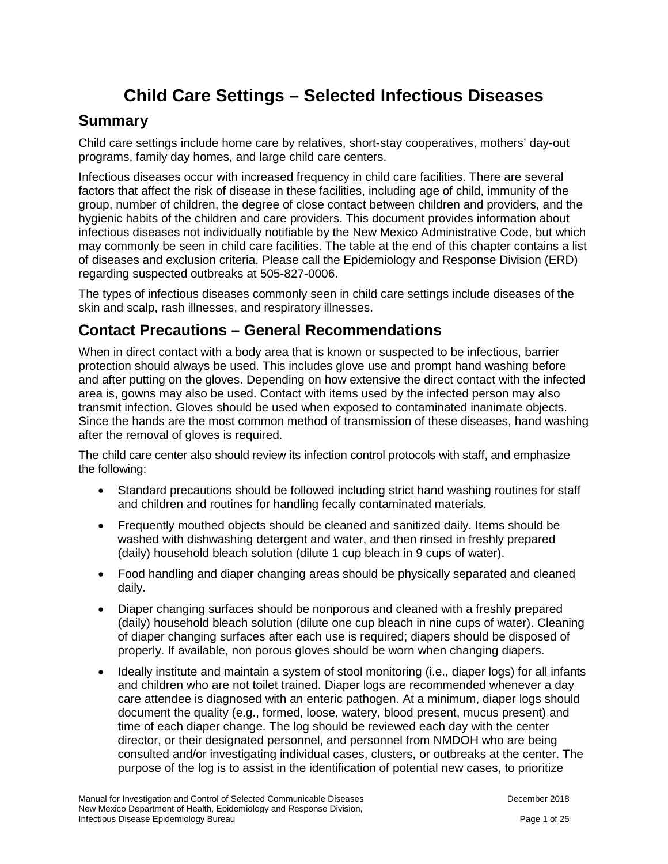# **Child Care Settings – Selected Infectious Diseases**

### **Summary**

Child care settings include home care by relatives, short-stay cooperatives, mothers' day-out programs, family day homes, and large child care centers.

Infectious diseases occur with increased frequency in child care facilities. There are several factors that affect the risk of disease in these facilities, including age of child, immunity of the group, number of children, the degree of close contact between children and providers, and the hygienic habits of the children and care providers. This document provides information about infectious diseases not individually notifiable by the New Mexico Administrative Code, but which may commonly be seen in child care facilities. The table at the end of this chapter contains a list of diseases and exclusion criteria. Please call the Epidemiology and Response Division (ERD) regarding suspected outbreaks at 505-827-0006.

The types of infectious diseases commonly seen in child care settings include diseases of the skin and scalp, rash illnesses, and respiratory illnesses.

### **Contact Precautions – General Recommendations**

When in direct contact with a body area that is known or suspected to be infectious, barrier protection should always be used. This includes glove use and prompt hand washing before and after putting on the gloves. Depending on how extensive the direct contact with the infected area is, gowns may also be used. Contact with items used by the infected person may also transmit infection. Gloves should be used when exposed to contaminated inanimate objects. Since the hands are the most common method of transmission of these diseases, hand washing after the removal of gloves is required.

The child care center also should review its infection control protocols with staff, and emphasize the following:

- Standard precautions should be followed including strict hand washing routines for staff and children and routines for handling fecally contaminated materials.
- Frequently mouthed objects should be cleaned and sanitized daily. Items should be washed with dishwashing detergent and water, and then rinsed in freshly prepared (daily) household bleach solution (dilute 1 cup bleach in 9 cups of water).
- Food handling and diaper changing areas should be physically separated and cleaned daily.
- Diaper changing surfaces should be nonporous and cleaned with a freshly prepared (daily) household bleach solution (dilute one cup bleach in nine cups of water). Cleaning of diaper changing surfaces after each use is required; diapers should be disposed of properly. If available, non porous gloves should be worn when changing diapers.
- Ideally institute and maintain a system of stool monitoring (i.e., diaper logs) for all infants and children who are not toilet trained. Diaper logs are recommended whenever a day care attendee is diagnosed with an enteric pathogen. At a minimum, diaper logs should document the quality (e.g., formed, loose, watery, blood present, mucus present) and time of each diaper change. The log should be reviewed each day with the center director, or their designated personnel, and personnel from NMDOH who are being consulted and/or investigating individual cases, clusters, or outbreaks at the center. The purpose of the log is to assist in the identification of potential new cases, to prioritize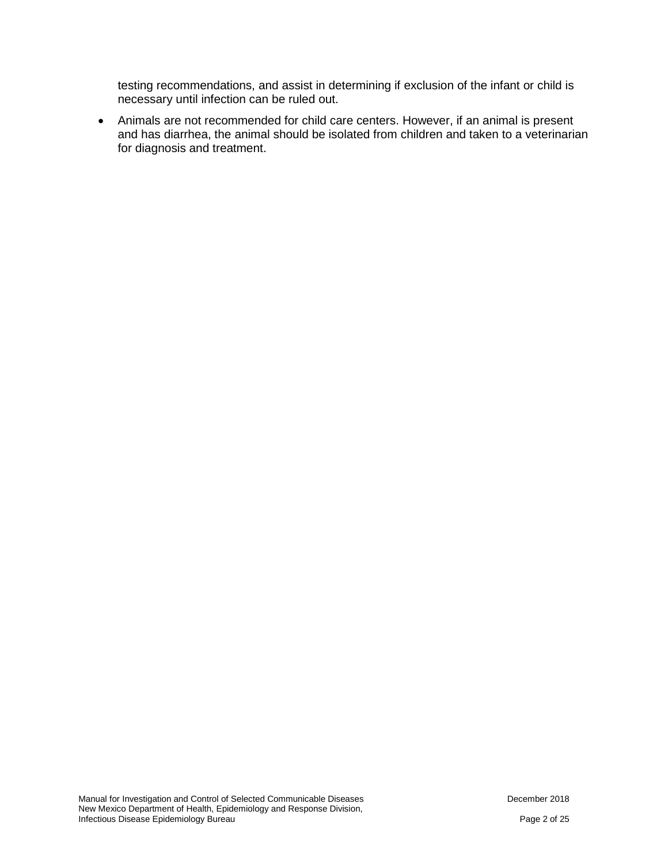testing recommendations, and assist in determining if exclusion of the infant or child is necessary until infection can be ruled out.

• Animals are not recommended for child care centers. However, if an animal is present and has diarrhea, the animal should be isolated from children and taken to a veterinarian for diagnosis and treatment.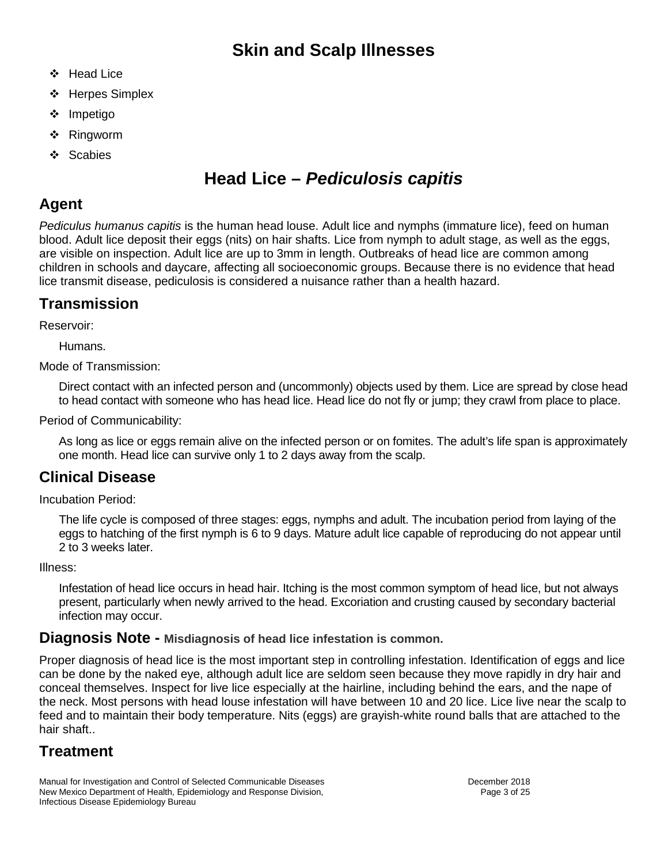# **Skin and Scalp Illnesses**

- ❖ Head Lice
- ❖ Herpes Simplex
- ❖ Impetigo
- ❖ Ringworm
- ❖ Scabies

# **Head Lice –** *Pediculosis capitis*

## **Agent**

*Pediculus humanus capitis* is the human head louse. Adult lice and nymphs (immature lice), feed on human blood. Adult lice deposit their eggs (nits) on hair shafts. Lice from nymph to adult stage, as well as the eggs, are visible on inspection. Adult lice are up to 3mm in length. Outbreaks of head lice are common among children in schools and daycare, affecting all socioeconomic groups. Because there is no evidence that head lice transmit disease, pediculosis is considered a nuisance rather than a health hazard.

## **Transmission**

Reservoir:

Humans.

Mode of Transmission:

Direct contact with an infected person and (uncommonly) objects used by them. Lice are spread by close head to head contact with someone who has head lice. Head lice do not fly or jump; they crawl from place to place.

Period of Communicability:

As long as lice or eggs remain alive on the infected person or on fomites. The adult's life span is approximately one month. Head lice can survive only 1 to 2 days away from the scalp.

## **Clinical Disease**

Incubation Period:

The life cycle is composed of three stages: eggs, nymphs and adult. The incubation period from laying of the eggs to hatching of the first nymph is 6 to 9 days. Mature adult lice capable of reproducing do not appear until 2 to 3 weeks later.

Illness:

Infestation of head lice occurs in head hair. Itching is the most common symptom of head lice, but not always present, particularly when newly arrived to the head. Excoriation and crusting caused by secondary bacterial infection may occur.

#### **Diagnosis Note - Misdiagnosis of head lice infestation is common.**

Proper diagnosis of head lice is the most important step in controlling infestation. Identification of eggs and lice can be done by the naked eye, although adult lice are seldom seen because they move rapidly in dry hair and conceal themselves. Inspect for live lice especially at the hairline, including behind the ears, and the nape of the neck. Most persons with head louse infestation will have between 10 and 20 lice. Lice live near the scalp to feed and to maintain their body temperature. Nits (eggs) are grayish-white round balls that are attached to the hair shaft..

# **Treatment**

Manual for Investigation and Control of Selected Communicable Diseases<br>New Mexico Department of Health, Epidemiology and Response Division, Same Communicable Diseases New Mexico Department of Health, Epidemiology and Response Division, Infectious Disease Epidemiology Bureau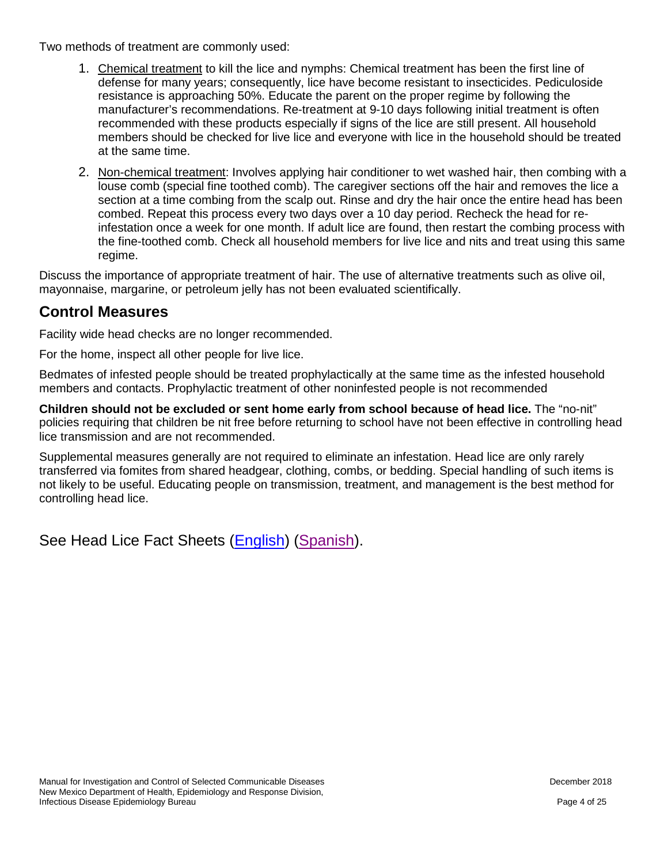Two methods of treatment are commonly used:

- 1. Chemical treatment to kill the lice and nymphs: Chemical treatment has been the first line of defense for many years; consequently, lice have become resistant to insecticides. Pediculoside resistance is approaching 50%. Educate the parent on the proper regime by following the manufacturer's recommendations. Re-treatment at 9-10 days following initial treatment is often recommended with these products especially if signs of the lice are still present. All household members should be checked for live lice and everyone with lice in the household should be treated at the same time.
- 2. Non-chemical treatment: Involves applying hair conditioner to wet washed hair, then combing with a louse comb (special fine toothed comb). The caregiver sections off the hair and removes the lice a section at a time combing from the scalp out. Rinse and dry the hair once the entire head has been combed. Repeat this process every two days over a 10 day period. Recheck the head for reinfestation once a week for one month. If adult lice are found, then restart the combing process with the fine-toothed comb. Check all household members for live lice and nits and treat using this same regime.

Discuss the importance of appropriate treatment of hair. The use of alternative treatments such as olive oil, mayonnaise, margarine, or petroleum jelly has not been evaluated scientifically.

#### **Control Measures**

Facility wide head checks are no longer recommended.

For the home, inspect all other people for live lice.

Bedmates of infested people should be treated prophylactically at the same time as the infested household members and contacts. Prophylactic treatment of other noninfested people is not recommended

**Children should not be excluded or sent home early from school because of head lice.** The "no-nit" policies requiring that children be nit free before returning to school have not been effective in controlling head lice transmission and are not recommended.

Supplemental measures generally are not required to eliminate an infestation. Head lice are only rarely transferred via fomites from shared headgear, clothing, combs, or bedding. Special handling of such items is not likely to be useful. Educating people on transmission, treatment, and management is the best method for controlling head lice.

See Head Lice Fact Sheets [\(English\)](https://nmhealth.org/publication/view/general/5038/) [\(Spanish\)](https://nmhealth.org/publication/view/general/5039/).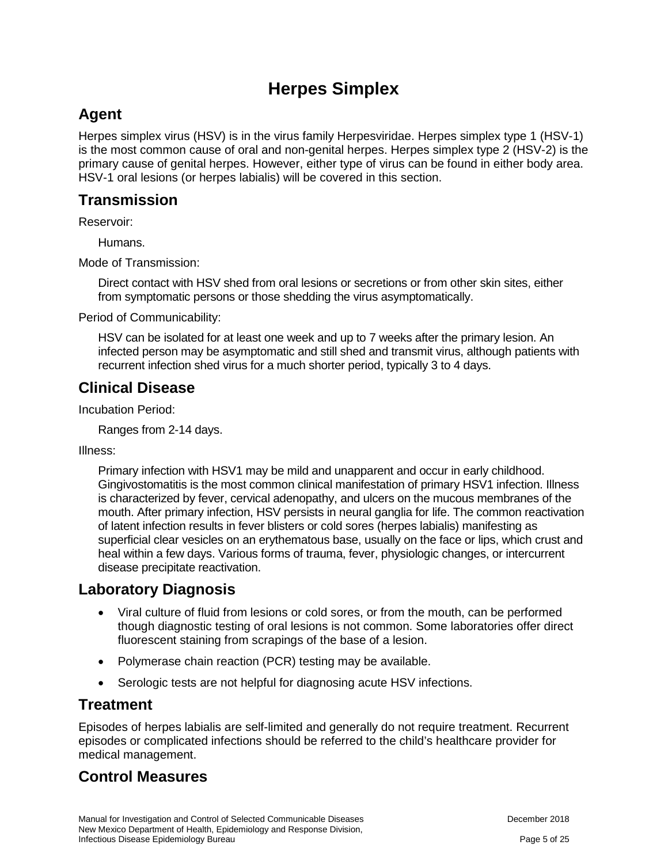# **Herpes Simplex**

# **Agent**

Herpes simplex virus (HSV) is in the virus family Herpesviridae. Herpes simplex type 1 (HSV-1) is the most common cause of oral and non-genital herpes. Herpes simplex type 2 (HSV-2) is the primary cause of genital herpes. However, either type of virus can be found in either body area. HSV-1 oral lesions (or herpes labialis) will be covered in this section.

## **Transmission**

Reservoir:

Humans.

Mode of Transmission:

Direct contact with HSV shed from oral lesions or secretions or from other skin sites, either from symptomatic persons or those shedding the virus asymptomatically.

Period of Communicability:

HSV can be isolated for at least one week and up to 7 weeks after the primary lesion. An infected person may be asymptomatic and still shed and transmit virus, although patients with recurrent infection shed virus for a much shorter period, typically 3 to 4 days.

# **Clinical Disease**

Incubation Period:

Ranges from 2-14 days.

Illness:

Primary infection with HSV1 may be mild and unapparent and occur in early childhood. Gingivostomatitis is the most common clinical manifestation of primary HSV1 infection. Illness is characterized by fever, cervical adenopathy, and ulcers on the mucous membranes of the mouth. After primary infection, HSV persists in neural ganglia for life. The common reactivation of latent infection results in fever blisters or cold sores (herpes labialis) manifesting as superficial clear vesicles on an erythematous base, usually on the face or lips, which crust and heal within a few days. Various forms of trauma, fever, physiologic changes, or intercurrent disease precipitate reactivation.

# **Laboratory Diagnosis**

- Viral culture of fluid from lesions or cold sores, or from the mouth, can be performed though diagnostic testing of oral lesions is not common. Some laboratories offer direct fluorescent staining from scrapings of the base of a lesion.
- Polymerase chain reaction (PCR) testing may be available.
- Serologic tests are not helpful for diagnosing acute HSV infections.

## **Treatment**

Episodes of herpes labialis are self-limited and generally do not require treatment. Recurrent episodes or complicated infections should be referred to the child's healthcare provider for medical management.

# **Control Measures**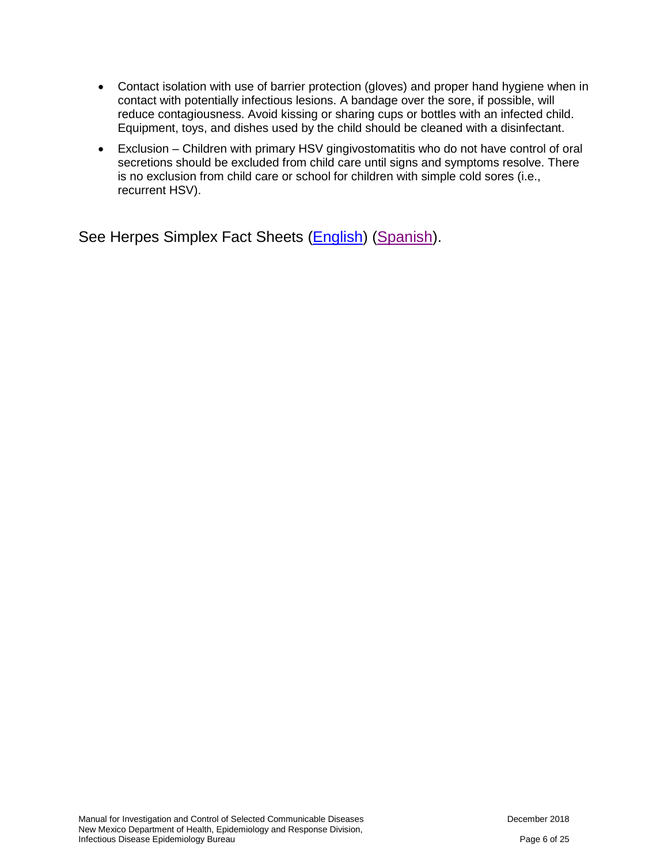- Contact isolation with use of barrier protection (gloves) and proper hand hygiene when in contact with potentially infectious lesions. A bandage over the sore, if possible, will reduce contagiousness. Avoid kissing or sharing cups or bottles with an infected child. Equipment, toys, and dishes used by the child should be cleaned with a disinfectant.
- Exclusion Children with primary HSV gingivostomatitis who do not have control of oral secretions should be excluded from child care until signs and symptoms resolve. There is no exclusion from child care or school for children with simple cold sores (i.e., recurrent HSV).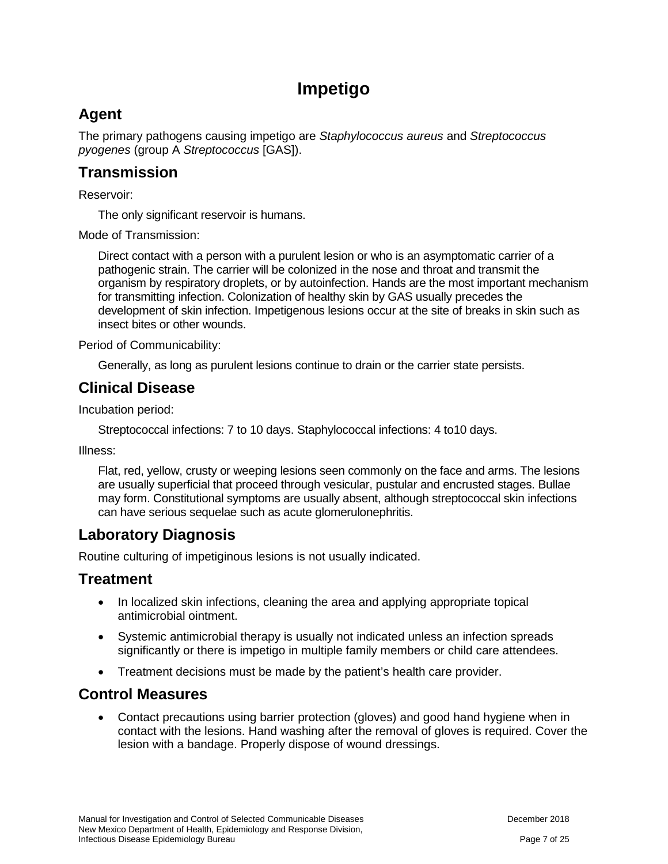# **Impetigo**

# **Agent**

The primary pathogens causing impetigo are *Staphylococcus aureus* and *Streptococcus pyogenes* (group A *Streptococcus* [GAS]).

## **Transmission**

Reservoir:

The only significant reservoir is humans.

Mode of Transmission:

Direct contact with a person with a purulent lesion or who is an asymptomatic carrier of a pathogenic strain. The carrier will be colonized in the nose and throat and transmit the organism by respiratory droplets, or by autoinfection. Hands are the most important mechanism for transmitting infection. Colonization of healthy skin by GAS usually precedes the development of skin infection. Impetigenous lesions occur at the site of breaks in skin such as insect bites or other wounds.

Period of Communicability:

Generally, as long as purulent lesions continue to drain or the carrier state persists.

## **Clinical Disease**

Incubation period:

Streptococcal infections: 7 to 10 days. Staphylococcal infections: 4 to10 days.

Illness:

Flat, red, yellow, crusty or weeping lesions seen commonly on the face and arms. The lesions are usually superficial that proceed through vesicular, pustular and encrusted stages. Bullae may form. Constitutional symptoms are usually absent, although streptococcal skin infections can have serious sequelae such as acute glomerulonephritis.

# **Laboratory Diagnosis**

Routine culturing of impetiginous lesions is not usually indicated.

#### **Treatment**

- In localized skin infections, cleaning the area and applying appropriate topical antimicrobial ointment.
- Systemic antimicrobial therapy is usually not indicated unless an infection spreads significantly or there is impetigo in multiple family members or child care attendees.
- Treatment decisions must be made by the patient's health care provider.

## **Control Measures**

• Contact precautions using barrier protection (gloves) and good hand hygiene when in contact with the lesions. Hand washing after the removal of gloves is required. Cover the lesion with a bandage. Properly dispose of wound dressings.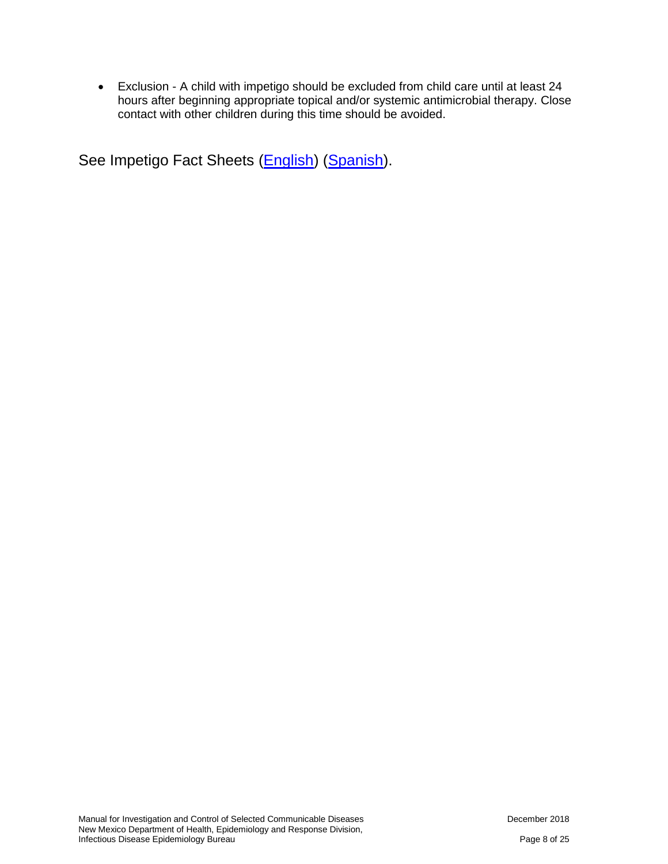• Exclusion - A child with impetigo should be excluded from child care until at least 24 hours after beginning appropriate topical and/or systemic antimicrobial therapy. Close contact with other children during this time should be avoided.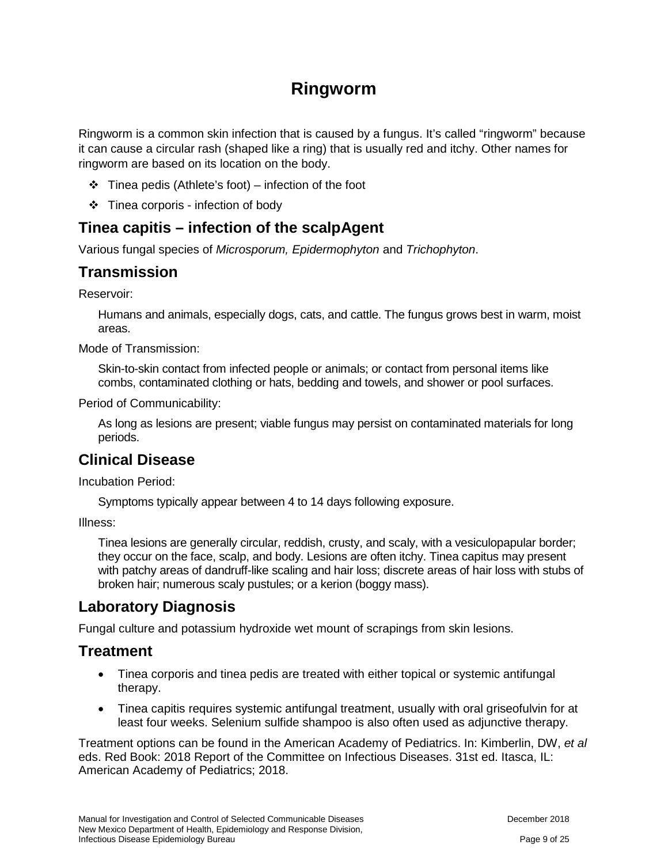# **Ringworm**

Ringworm is a common skin infection that is caused by a fungus. It's called "ringworm" because it can cause a circular rash (shaped like a ring) that is usually red and itchy. Other names for ringworm are based on its location on the body.

- $\div$  Tinea pedis (Athlete's foot) infection of the foot
- $\div$  Tinea corporis infection of body

## **Tinea capitis – infection of the scalpAgent**

Various fungal species of *Microsporum, Epidermophyton* and *Trichophyton*.

## **Transmission**

Reservoir:

Humans and animals, especially dogs, cats, and cattle. The fungus grows best in warm, moist areas.

Mode of Transmission:

Skin-to-skin contact from infected people or animals; or contact from personal items like combs, contaminated clothing or hats, bedding and towels, and shower or pool surfaces.

Period of Communicability:

As long as lesions are present; viable fungus may persist on contaminated materials for long periods.

## **Clinical Disease**

Incubation Period:

Symptoms typically appear between 4 to 14 days following exposure.

Illness:

Tinea lesions are generally circular, reddish, crusty, and scaly, with a vesiculopapular border; they occur on the face, scalp, and body. Lesions are often itchy. Tinea capitus may present with patchy areas of dandruff-like scaling and hair loss; discrete areas of hair loss with stubs of broken hair; numerous scaly pustules; or a kerion (boggy mass).

## **Laboratory Diagnosis**

Fungal culture and potassium hydroxide wet mount of scrapings from skin lesions.

#### **Treatment**

- Tinea corporis and tinea pedis are treated with either topical or systemic antifungal therapy.
- Tinea capitis requires systemic antifungal treatment, usually with oral griseofulvin for at least four weeks. Selenium sulfide shampoo is also often used as adjunctive therapy.

Treatment options can be found in the American Academy of Pediatrics. In: Kimberlin, DW, *et al* eds. Red Book: 2018 Report of the Committee on Infectious Diseases. 31st ed. Itasca, IL: American Academy of Pediatrics; 2018.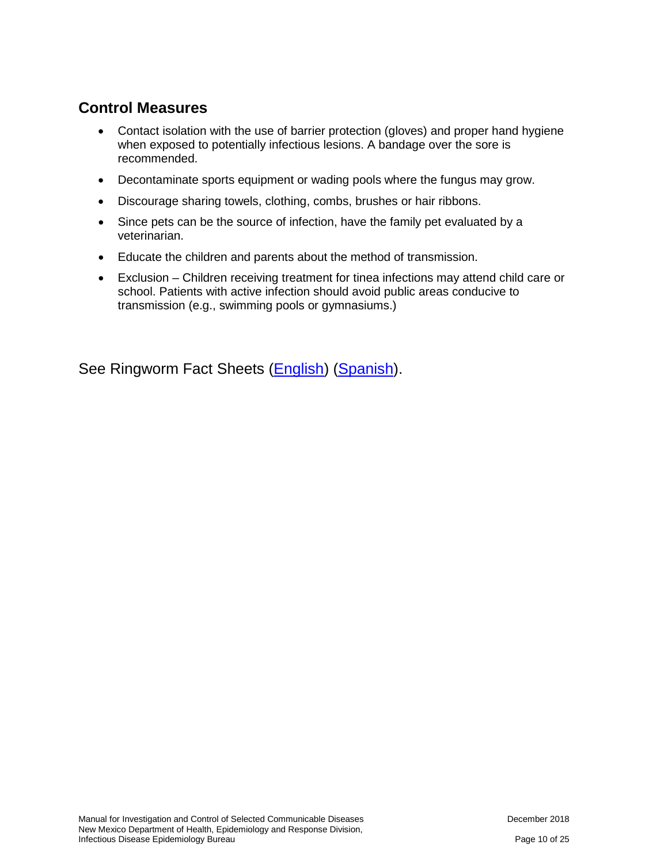## **Control Measures**

- Contact isolation with the use of barrier protection (gloves) and proper hand hygiene when exposed to potentially infectious lesions. A bandage over the sore is recommended.
- Decontaminate sports equipment or wading pools where the fungus may grow.
- Discourage sharing towels, clothing, combs, brushes or hair ribbons.
- Since pets can be the source of infection, have the family pet evaluated by a veterinarian.
- Educate the children and parents about the method of transmission.
- Exclusion Children receiving treatment for tinea infections may attend child care or school. Patients with active infection should avoid public areas conducive to transmission (e.g., swimming pools or gymnasiums.)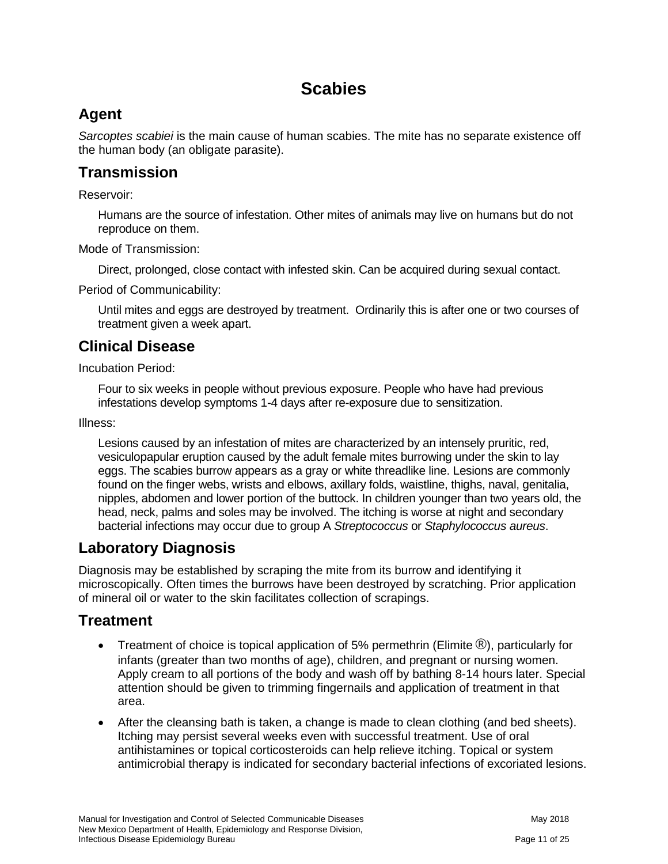# **Scabies**

# **Agent**

*Sarcoptes scabiei* is the main cause of human scabies. The mite has no separate existence off the human body (an obligate parasite).

# **Transmission**

Reservoir:

Humans are the source of infestation. Other mites of animals may live on humans but do not reproduce on them.

Mode of Transmission:

Direct, prolonged, close contact with infested skin. Can be acquired during sexual contact.

Period of Communicability:

Until mites and eggs are destroyed by treatment. Ordinarily this is after one or two courses of treatment given a week apart.

# **Clinical Disease**

Incubation Period:

Four to six weeks in people without previous exposure. People who have had previous infestations develop symptoms 1-4 days after re-exposure due to sensitization.

Illness:

Lesions caused by an infestation of mites are characterized by an intensely pruritic, red, vesiculopapular eruption caused by the adult female mites burrowing under the skin to lay eggs. The scabies burrow appears as a gray or white threadlike line. Lesions are commonly found on the finger webs, wrists and elbows, axillary folds, waistline, thighs, naval, genitalia, nipples, abdomen and lower portion of the buttock. In children younger than two years old, the head, neck, palms and soles may be involved. The itching is worse at night and secondary bacterial infections may occur due to group A *Streptococcus* or *Staphylococcus aureus*.

# **Laboratory Diagnosis**

Diagnosis may be established by scraping the mite from its burrow and identifying it microscopically. Often times the burrows have been destroyed by scratching. Prior application of mineral oil or water to the skin facilitates collection of scrapings.

# **Treatment**

- Treatment of choice is topical application of 5% permethrin (Elimite  $\mathcal{B}$ ), particularly for infants (greater than two months of age), children, and pregnant or nursing women. Apply cream to all portions of the body and wash off by bathing 8-14 hours later. Special attention should be given to trimming fingernails and application of treatment in that area.
- After the cleansing bath is taken, a change is made to clean clothing (and bed sheets). Itching may persist several weeks even with successful treatment. Use of oral antihistamines or topical corticosteroids can help relieve itching. Topical or system antimicrobial therapy is indicated for secondary bacterial infections of excoriated lesions.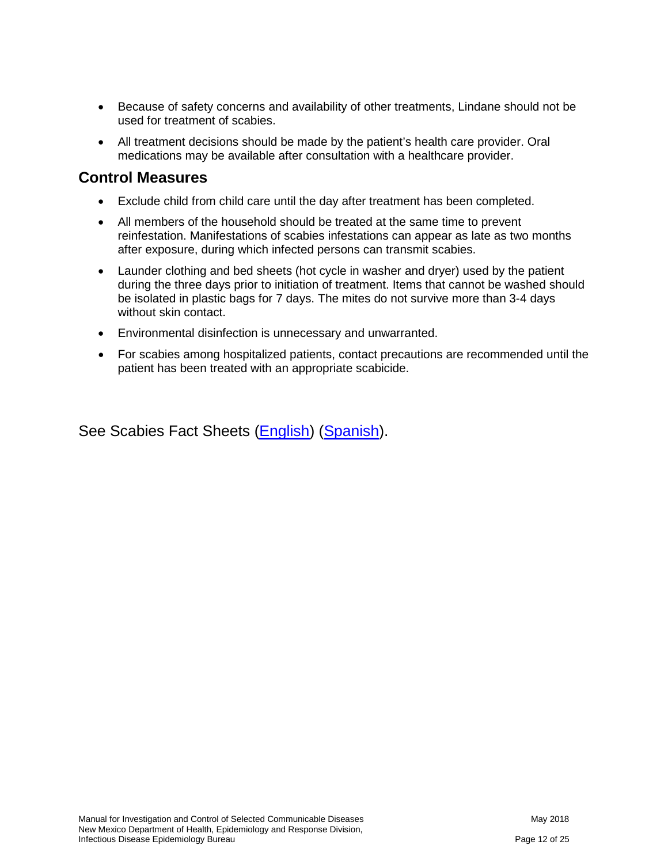- Because of safety concerns and availability of other treatments, Lindane should not be used for treatment of scabies.
- All treatment decisions should be made by the patient's health care provider. Oral medications may be available after consultation with a healthcare provider.

#### **Control Measures**

- Exclude child from child care until the day after treatment has been completed.
- All members of the household should be treated at the same time to prevent reinfestation. Manifestations of scabies infestations can appear as late as two months after exposure, during which infected persons can transmit scabies.
- Launder clothing and bed sheets (hot cycle in washer and dryer) used by the patient during the three days prior to initiation of treatment. Items that cannot be washed should be isolated in plastic bags for 7 days. The mites do not survive more than 3-4 days without skin contact.
- Environmental disinfection is unnecessary and unwarranted.
- For scabies among hospitalized patients, contact precautions are recommended until the patient has been treated with an appropriate scabicide.

See Scabies Fact Sheets [\(English\)](https://nmhealth.org/publication/view/general/5042/) [\(Spanish\)](https://nmhealth.org/publication/view/general/5043/).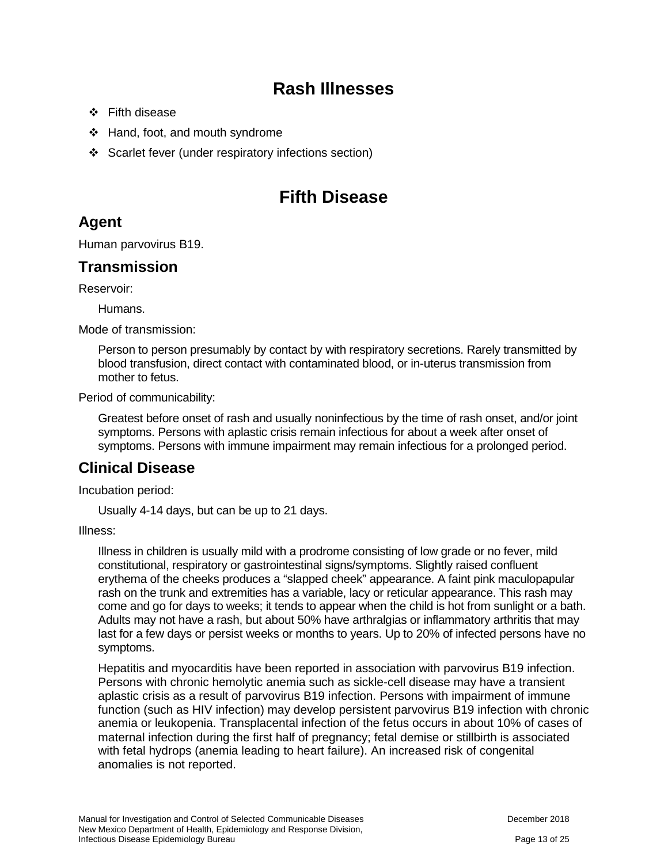# **Rash Illnesses**

- Fifth disease
- ❖ Hand, foot, and mouth syndrome
- ❖ Scarlet fever (under respiratory infections section)

# **Fifth Disease**

# **Agent**

Human parvovirus B19.

### **Transmission**

Reservoir:

Humans.

Mode of transmission:

Person to person presumably by contact by with respiratory secretions. Rarely transmitted by blood transfusion, direct contact with contaminated blood, or in-uterus transmission from mother to fetus.

Period of communicability:

Greatest before onset of rash and usually noninfectious by the time of rash onset, and/or joint symptoms. Persons with aplastic crisis remain infectious for about a week after onset of symptoms. Persons with immune impairment may remain infectious for a prolonged period.

## **Clinical Disease**

Incubation period:

Usually 4-14 days, but can be up to 21 days.

Illness:

Illness in children is usually mild with a prodrome consisting of low grade or no fever, mild constitutional, respiratory or gastrointestinal signs/symptoms. Slightly raised confluent erythema of the cheeks produces a "slapped cheek" appearance. A faint pink maculopapular rash on the trunk and extremities has a variable, lacy or reticular appearance. This rash may come and go for days to weeks; it tends to appear when the child is hot from sunlight or a bath. Adults may not have a rash, but about 50% have arthralgias or inflammatory arthritis that may last for a few days or persist weeks or months to years. Up to 20% of infected persons have no symptoms.

Hepatitis and myocarditis have been reported in association with parvovirus B19 infection. Persons with chronic hemolytic anemia such as sickle-cell disease may have a transient aplastic crisis as a result of parvovirus B19 infection. Persons with impairment of immune function (such as HIV infection) may develop persistent parvovirus B19 infection with chronic anemia or leukopenia. Transplacental infection of the fetus occurs in about 10% of cases of maternal infection during the first half of pregnancy; fetal demise or stillbirth is associated with fetal hydrops (anemia leading to heart failure). An increased risk of congenital anomalies is not reported.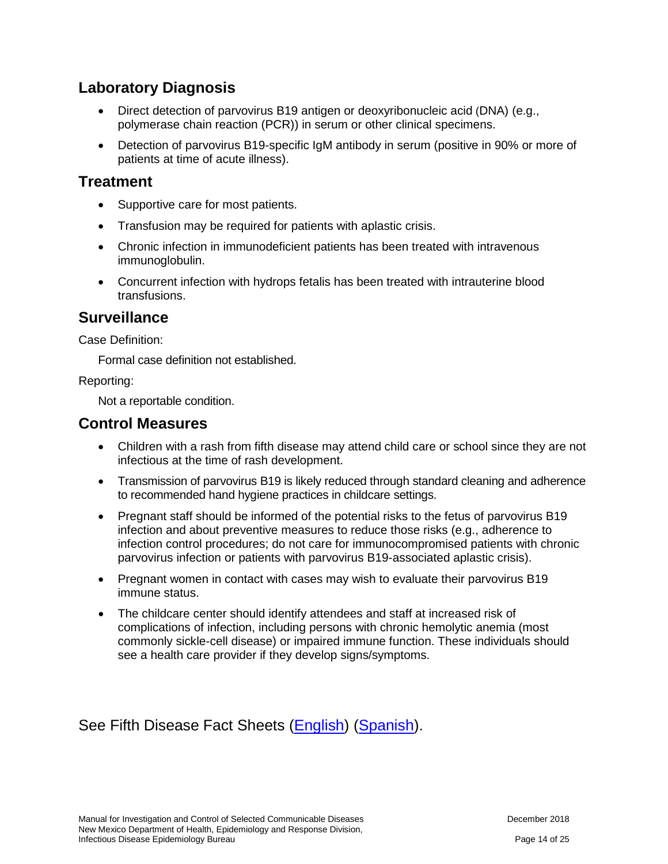### **Laboratory Diagnosis**

- Direct detection of parvovirus B19 antigen or deoxyribonucleic acid (DNA) (e.g., polymerase chain reaction (PCR)) in serum or other clinical specimens.
- Detection of parvovirus B19-specific IgM antibody in serum (positive in 90% or more of patients at time of acute illness).

#### **Treatment**

- Supportive care for most patients.
- Transfusion may be required for patients with aplastic crisis.
- Chronic infection in immunodeficient patients has been treated with intravenous immunoglobulin.
- Concurrent infection with hydrops fetalis has been treated with intrauterine blood transfusions.

### **Surveillance**

Case Definition:

Formal case definition not established.

#### Reporting:

Not a reportable condition.

#### **Control Measures**

- Children with a rash from fifth disease may attend child care or school since they are not infectious at the time of rash development.
- Transmission of parvovirus B19 is likely reduced through standard cleaning and adherence to recommended hand hygiene practices in childcare settings.
- Pregnant staff should be informed of the potential risks to the fetus of parvovirus B19 infection and about preventive measures to reduce those risks (e.g., adherence to infection control procedures; do not care for immunocompromised patients with chronic parvovirus infection or patients with parvovirus B19-associated aplastic crisis).
- Pregnant women in contact with cases may wish to evaluate their parvovirus B19 immune status.
- The childcare center should identify attendees and staff at increased risk of complications of infection, including persons with chronic hemolytic anemia (most commonly sickle-cell disease) or impaired immune function. These individuals should see a health care provider if they develop signs/symptoms.

See Fifth Disease Fact Sheets [\(English\)](https://nmhealth.org/publication/view/general/5044/) [\(Spanish\)](https://nmhealth.org/publication/view/general/5045/).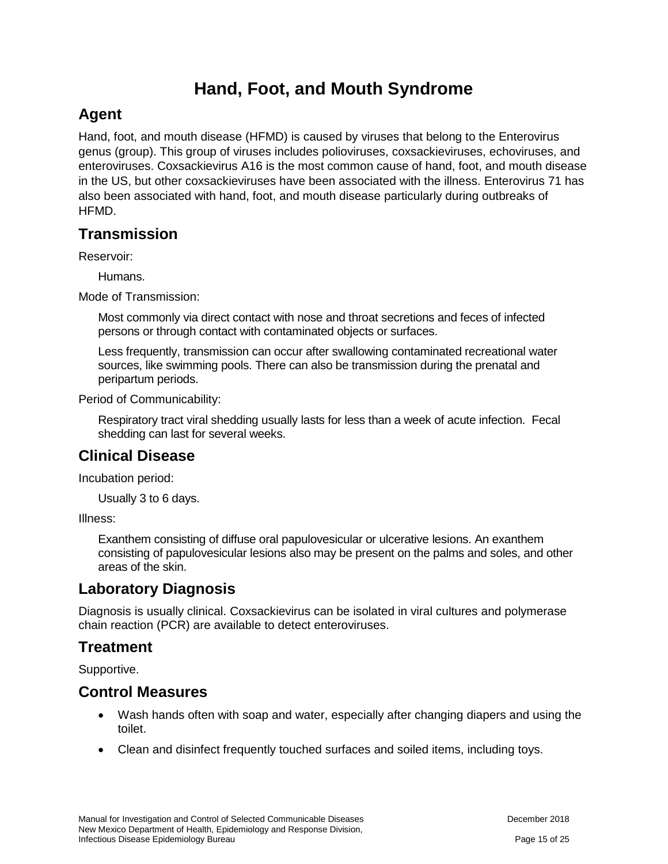# **Hand, Foot, and Mouth Syndrome**

# **Agent**

Hand, foot, and mouth disease (HFMD) is caused by viruses that belong to the Enterovirus genus (group). This group of viruses includes polioviruses, coxsackieviruses, echoviruses, and enteroviruses. Coxsackievirus A16 is the most common cause of hand, foot, and mouth disease in the US, but other coxsackieviruses have been associated with the illness. Enterovirus 71 has also been associated with hand, foot, and mouth disease particularly during outbreaks of HFMD.

# **Transmission**

Reservoir:

Humans.

Mode of Transmission:

Most commonly via direct contact with nose and throat secretions and feces of infected persons or through contact with contaminated objects or surfaces.

Less frequently, transmission can occur after swallowing contaminated recreational water sources, like swimming pools. There can also be transmission during the prenatal and peripartum periods.

Period of Communicability:

Respiratory tract viral shedding usually lasts for less than a week of acute infection. Fecal shedding can last for several weeks.

# **Clinical Disease**

Incubation period:

Usually 3 to 6 days.

Illness:

Exanthem consisting of diffuse oral papulovesicular or ulcerative lesions. An exanthem consisting of papulovesicular lesions also may be present on the palms and soles, and other areas of the skin.

## **Laboratory Diagnosis**

Diagnosis is usually clinical. Coxsackievirus can be isolated in viral cultures and polymerase chain reaction (PCR) are available to detect enteroviruses.

## **Treatment**

Supportive.

## **Control Measures**

- Wash hands often with soap and water, especially after changing diapers and using the toilet.
- Clean and disinfect frequently touched surfaces and soiled items, including toys.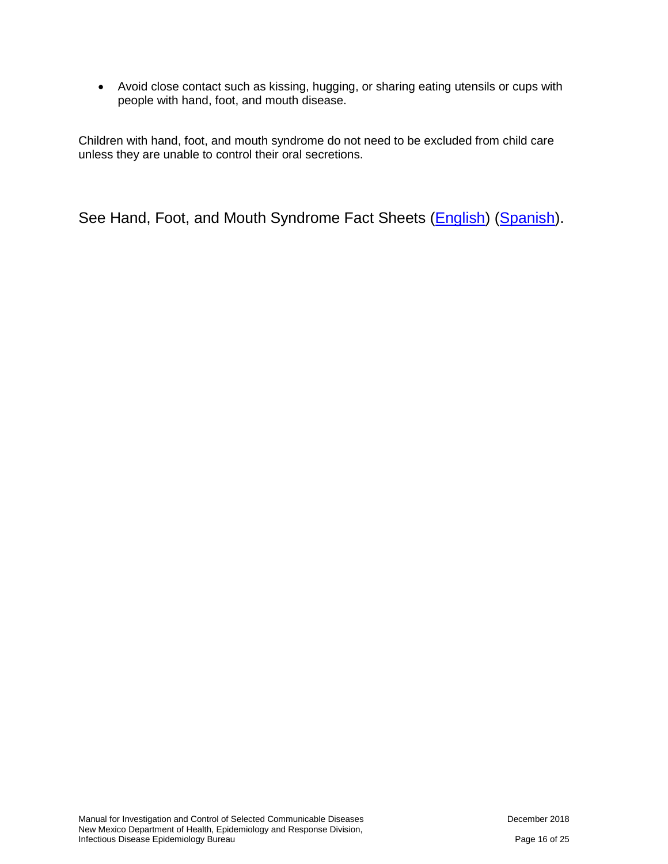• Avoid close contact such as kissing, hugging, or sharing eating utensils or cups with people with hand, foot, and mouth disease.

Children with hand, foot, and mouth syndrome do not need to be excluded from child care unless they are unable to control their oral secretions.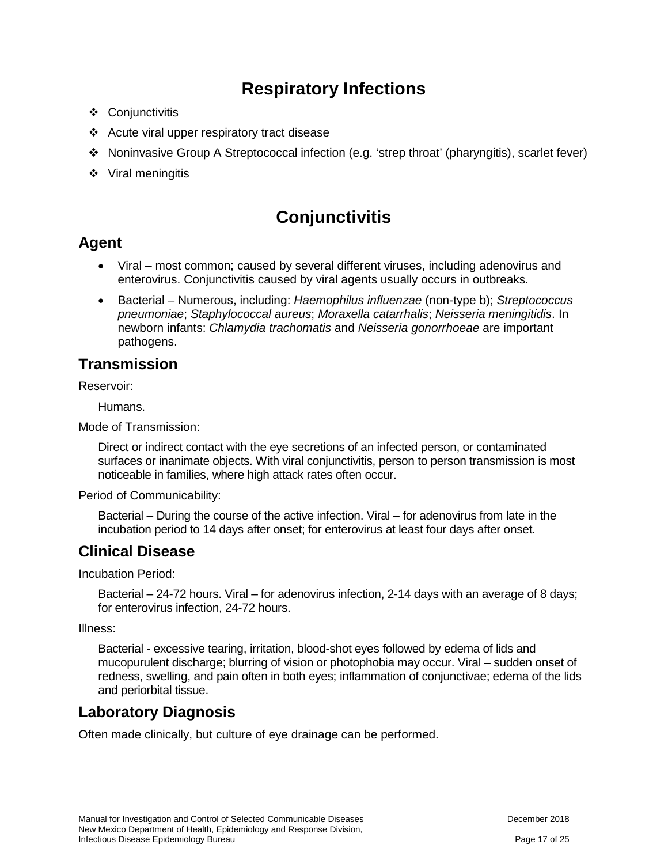# **Respiratory Infections**

- Conjunctivitis
- ❖ Acute viral upper respiratory tract disease
- Noninvasive Group A Streptococcal infection (e.g. 'strep throat' (pharyngitis), scarlet fever)
- ❖ Viral meningitis

# **Conjunctivitis**

## **Agent**

- Viral most common; caused by several different viruses, including adenovirus and enterovirus. Conjunctivitis caused by viral agents usually occurs in outbreaks.
- Bacterial Numerous, including: *Haemophilus influenzae* (non-type b); *Streptococcus pneumoniae*; *Staphylococcal aureus*; *Moraxella catarrhalis*; *Neisseria meningitidis*. In newborn infants: *Chlamydia trachomatis* and *Neisseria gonorrhoeae* are important pathogens.

### **Transmission**

Reservoir:

Humans.

Mode of Transmission:

Direct or indirect contact with the eye secretions of an infected person, or contaminated surfaces or inanimate objects. With viral conjunctivitis, person to person transmission is most noticeable in families, where high attack rates often occur.

Period of Communicability:

Bacterial – During the course of the active infection. Viral – for adenovirus from late in the incubation period to 14 days after onset; for enterovirus at least four days after onset.

## **Clinical Disease**

Incubation Period:

Bacterial – 24-72 hours. Viral – for adenovirus infection, 2-14 days with an average of 8 days; for enterovirus infection, 24-72 hours.

Illness:

Bacterial - excessive tearing, irritation, blood-shot eyes followed by edema of lids and mucopurulent discharge; blurring of vision or photophobia may occur. Viral – sudden onset of redness, swelling, and pain often in both eyes; inflammation of conjunctivae; edema of the lids and periorbital tissue.

## **Laboratory Diagnosis**

Often made clinically, but culture of eye drainage can be performed.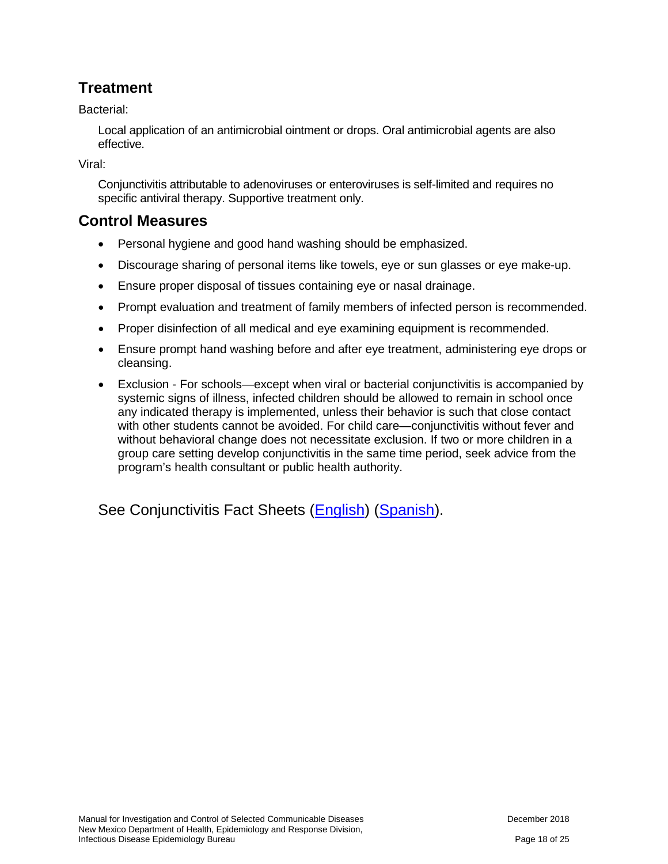# **Treatment**

Bacterial:

Local application of an antimicrobial ointment or drops. Oral antimicrobial agents are also effective.

Viral:

Conjunctivitis attributable to adenoviruses or enteroviruses is self-limited and requires no specific antiviral therapy. Supportive treatment only.

## **Control Measures**

- Personal hygiene and good hand washing should be emphasized.
- Discourage sharing of personal items like towels, eye or sun glasses or eye make-up.
- Ensure proper disposal of tissues containing eye or nasal drainage.
- Prompt evaluation and treatment of family members of infected person is recommended.
- Proper disinfection of all medical and eye examining equipment is recommended.
- Ensure prompt hand washing before and after eye treatment, administering eye drops or cleansing.
- Exclusion For schools—except when viral or bacterial conjunctivitis is accompanied by systemic signs of illness, infected children should be allowed to remain in school once any indicated therapy is implemented, unless their behavior is such that close contact with other students cannot be avoided. For child care—conjunctivitis without fever and without behavioral change does not necessitate exclusion. If two or more children in a group care setting develop conjunctivitis in the same time period, seek advice from the program's health consultant or public health authority.

See Conjunctivitis Fact Sheets [\(English\)](https://nmhealth.org/publication/view/general/5165/) [\(Spanish\)](https://nmhealth.org/publication/view/general/5166/).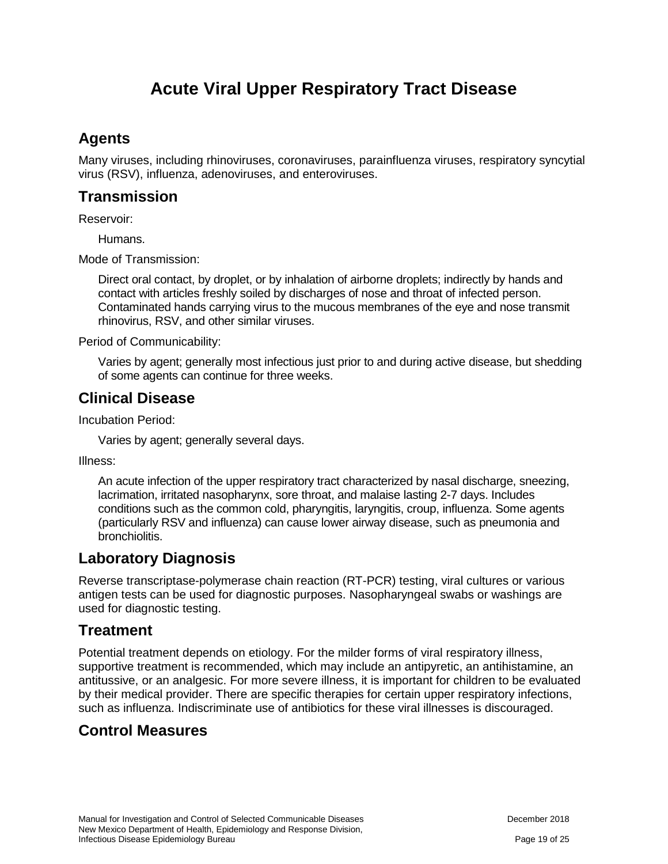# **Acute Viral Upper Respiratory Tract Disease**

# **Agents**

Many viruses, including rhinoviruses, coronaviruses, parainfluenza viruses, respiratory syncytial virus (RSV), influenza, adenoviruses, and enteroviruses.

### **Transmission**

Reservoir:

Humans.

Mode of Transmission:

Direct oral contact, by droplet, or by inhalation of airborne droplets; indirectly by hands and contact with articles freshly soiled by discharges of nose and throat of infected person. Contaminated hands carrying virus to the mucous membranes of the eye and nose transmit rhinovirus, RSV, and other similar viruses.

Period of Communicability:

Varies by agent; generally most infectious just prior to and during active disease, but shedding of some agents can continue for three weeks.

## **Clinical Disease**

Incubation Period:

Varies by agent; generally several days.

Illness:

An acute infection of the upper respiratory tract characterized by nasal discharge, sneezing, lacrimation, irritated nasopharynx, sore throat, and malaise lasting 2-7 days. Includes conditions such as the common cold, pharyngitis, laryngitis, croup, influenza. Some agents (particularly RSV and influenza) can cause lower airway disease, such as pneumonia and bronchiolitis.

#### **Laboratory Diagnosis**

Reverse transcriptase-polymerase chain reaction (RT-PCR) testing, viral cultures or various antigen tests can be used for diagnostic purposes. Nasopharyngeal swabs or washings are used for diagnostic testing.

## **Treatment**

Potential treatment depends on etiology. For the milder forms of viral respiratory illness, supportive treatment is recommended, which may include an antipyretic, an antihistamine, an antitussive, or an analgesic. For more severe illness, it is important for children to be evaluated by their medical provider. There are specific therapies for certain upper respiratory infections, such as influenza. Indiscriminate use of antibiotics for these viral illnesses is discouraged.

## **Control Measures**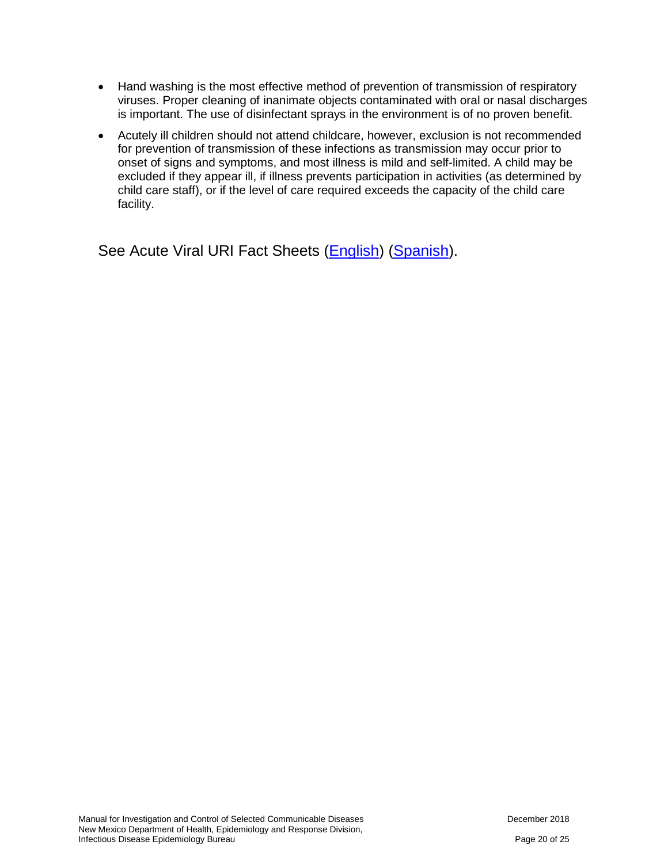- Hand washing is the most effective method of prevention of transmission of respiratory viruses. Proper cleaning of inanimate objects contaminated with oral or nasal discharges is important. The use of disinfectant sprays in the environment is of no proven benefit.
- Acutely ill children should not attend childcare, however, exclusion is not recommended for prevention of transmission of these infections as transmission may occur prior to onset of signs and symptoms, and most illness is mild and self-limited. A child may be excluded if they appear ill, if illness prevents participation in activities (as determined by child care staff), or if the level of care required exceeds the capacity of the child care facility.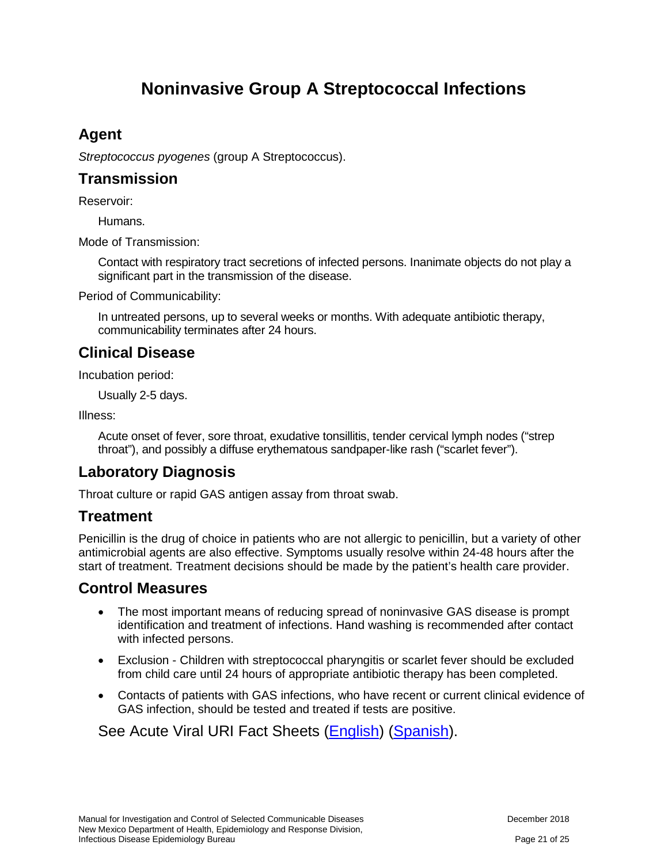# **Noninvasive Group A Streptococcal Infections**

# **Agent**

*Streptococcus pyogenes* (group A Streptococcus).

#### **Transmission**

Reservoir:

Humans.

Mode of Transmission:

Contact with respiratory tract secretions of infected persons. Inanimate objects do not play a significant part in the transmission of the disease.

Period of Communicability:

In untreated persons, up to several weeks or months. With adequate antibiotic therapy, communicability terminates after 24 hours.

# **Clinical Disease**

Incubation period:

Usually 2-5 days.

Illness:

Acute onset of fever, sore throat, exudative tonsillitis, tender cervical lymph nodes ("strep throat"), and possibly a diffuse erythematous sandpaper-like rash ("scarlet fever").

# **Laboratory Diagnosis**

Throat culture or rapid GAS antigen assay from throat swab.

## **Treatment**

Penicillin is the drug of choice in patients who are not allergic to penicillin, but a variety of other antimicrobial agents are also effective. Symptoms usually resolve within 24-48 hours after the start of treatment. Treatment decisions should be made by the patient's health care provider.

## **Control Measures**

- The most important means of reducing spread of noninvasive GAS disease is prompt identification and treatment of infections. Hand washing is recommended after contact with infected persons.
- Exclusion Children with streptococcal pharyngitis or scarlet fever should be excluded from child care until 24 hours of appropriate antibiotic therapy has been completed.
- Contacts of patients with GAS infections, who have recent or current clinical evidence of GAS infection, should be tested and treated if tests are positive.

See Acute Viral URI Fact Sheets [\(English\)](https://nmhealth.org/publication/view/general/5205/) [\(Spanish\)](https://nmhealth.org/publication/view/general/5206/).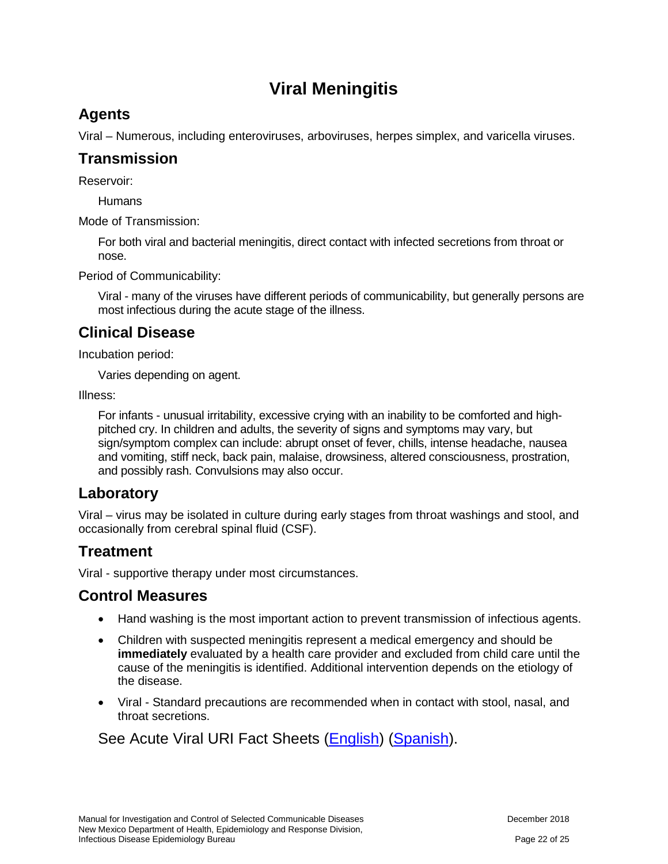# **Viral Meningitis**

# **Agents**

Viral – Numerous, including enteroviruses, arboviruses, herpes simplex, and varicella viruses.

# **Transmission**

Reservoir:

Humans

Mode of Transmission:

For both viral and bacterial meningitis, direct contact with infected secretions from throat or nose.

Period of Communicability:

Viral - many of the viruses have different periods of communicability, but generally persons are most infectious during the acute stage of the illness.

# **Clinical Disease**

Incubation period:

Varies depending on agent.

Illness:

For infants - unusual irritability, excessive crying with an inability to be comforted and highpitched cry. In children and adults, the severity of signs and symptoms may vary, but sign/symptom complex can include: abrupt onset of fever, chills, intense headache, nausea and vomiting, stiff neck, back pain, malaise, drowsiness, altered consciousness, prostration, and possibly rash. Convulsions may also occur.

# **Laboratory**

Viral – virus may be isolated in culture during early stages from throat washings and stool, and occasionally from cerebral spinal fluid (CSF).

# **Treatment**

Viral - supportive therapy under most circumstances.

# **Control Measures**

- Hand washing is the most important action to prevent transmission of infectious agents.
- Children with suspected meningitis represent a medical emergency and should be **immediately** evaluated by a health care provider and excluded from child care until the cause of the meningitis is identified. Additional intervention depends on the etiology of the disease.
- Viral Standard precautions are recommended when in contact with stool, nasal, and throat secretions.

See Acute Viral URI Fact Sheets [\(English\)](https://nmhealth.org/publication/view/general/5209/) [\(Spanish\)](https://nmhealth.org/publication/view/general/5210/).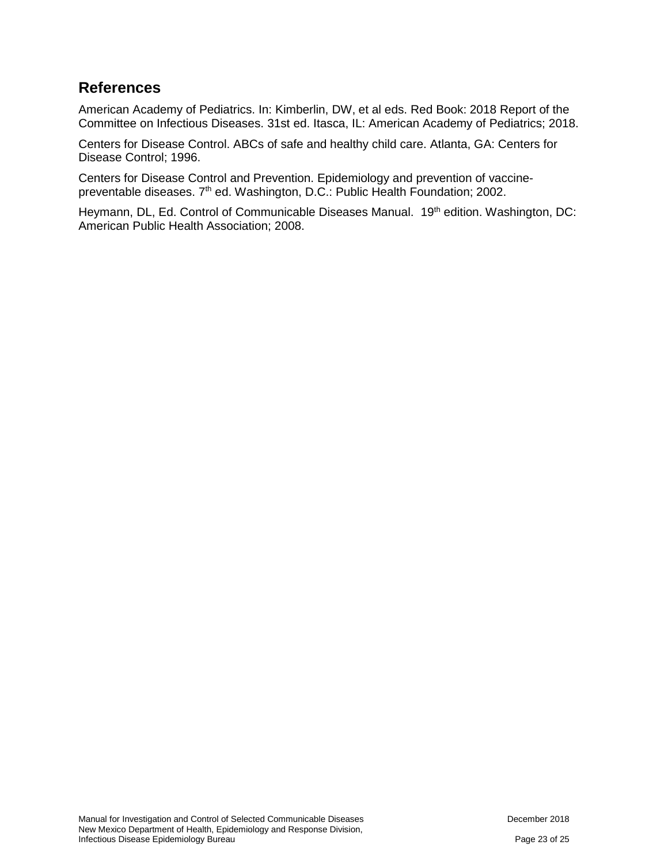#### **References**

American Academy of Pediatrics. In: Kimberlin, DW, et al eds. Red Book: 2018 Report of the Committee on Infectious Diseases. 31st ed. Itasca, IL: American Academy of Pediatrics; 2018.

Centers for Disease Control. ABCs of safe and healthy child care. Atlanta, GA: Centers for Disease Control; 1996.

Centers for Disease Control and Prevention. Epidemiology and prevention of vaccinepreventable diseases. 7<sup>th</sup> ed. Washington, D.C.: Public Health Foundation; 2002.

Heymann, DL, Ed. Control of Communicable Diseases Manual. 19<sup>th</sup> edition. Washington, DC: American Public Health Association; 2008.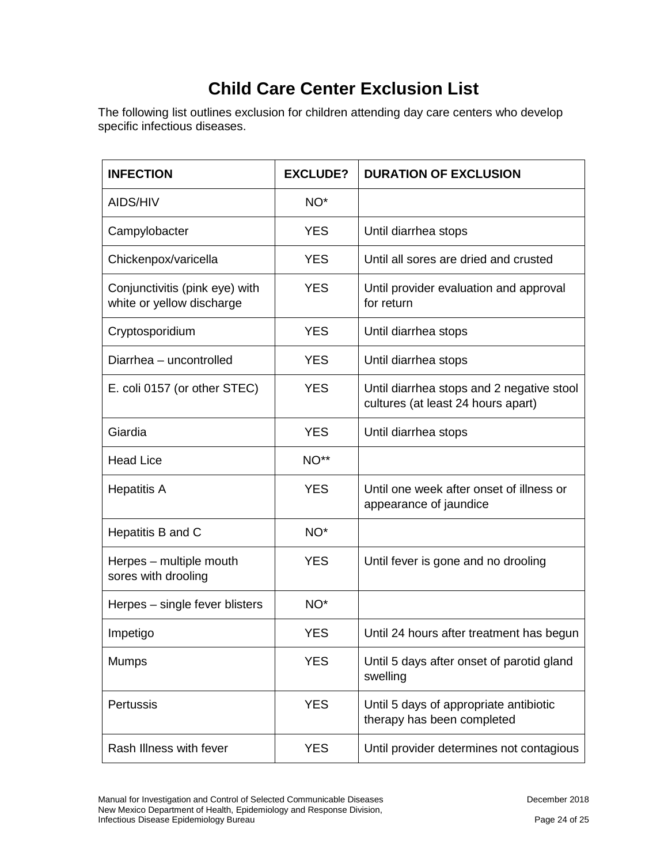# **Child Care Center Exclusion List**

The following list outlines exclusion for children attending day care centers who develop specific infectious diseases.

| <b>INFECTION</b>                                            | <b>EXCLUDE?</b> | <b>DURATION OF EXCLUSION</b>                                                    |
|-------------------------------------------------------------|-----------------|---------------------------------------------------------------------------------|
| AIDS/HIV                                                    | NO <sup>*</sup> |                                                                                 |
| Campylobacter                                               | <b>YES</b>      | Until diarrhea stops                                                            |
| Chickenpox/varicella                                        | <b>YES</b>      | Until all sores are dried and crusted                                           |
| Conjunctivitis (pink eye) with<br>white or yellow discharge | <b>YES</b>      | Until provider evaluation and approval<br>for return                            |
| Cryptosporidium                                             | <b>YES</b>      | Until diarrhea stops                                                            |
| Diarrhea - uncontrolled                                     | <b>YES</b>      | Until diarrhea stops                                                            |
| E. coli 0157 (or other STEC)                                | <b>YES</b>      | Until diarrhea stops and 2 negative stool<br>cultures (at least 24 hours apart) |
| Giardia                                                     | <b>YES</b>      | Until diarrhea stops                                                            |
| <b>Head Lice</b>                                            | $NO**$          |                                                                                 |
| <b>Hepatitis A</b>                                          | <b>YES</b>      | Until one week after onset of illness or<br>appearance of jaundice              |
| Hepatitis B and C                                           | NO <sup>*</sup> |                                                                                 |
| Herpes - multiple mouth<br>sores with drooling              | <b>YES</b>      | Until fever is gone and no drooling                                             |
| Herpes – single fever blisters                              | NO <sup>*</sup> |                                                                                 |
| Impetigo                                                    | <b>YES</b>      | Until 24 hours after treatment has begun                                        |
| <b>Mumps</b>                                                | <b>YES</b>      | Until 5 days after onset of parotid gland<br>swelling                           |
| <b>Pertussis</b>                                            | <b>YES</b>      | Until 5 days of appropriate antibiotic<br>therapy has been completed            |
| Rash Illness with fever                                     | <b>YES</b>      | Until provider determines not contagious                                        |